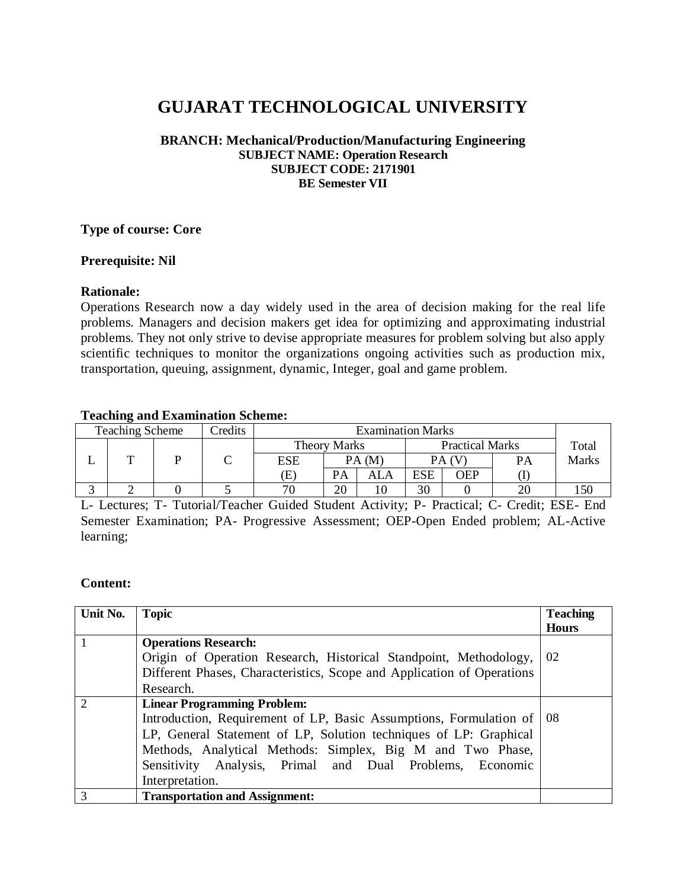# **GUJARAT TECHNOLOGICAL UNIVERSITY**

#### **BRANCH: Mechanical/Production/Manufacturing Engineering SUBJECT NAME: Operation Research SUBJECT CODE: 2171901 BE Semester VII**

#### **Type of course: Core**

#### **Prerequisite: Nil**

## **Rationale:**

Operations Research now a day widely used in the area of decision making for the real life problems. Managers and decision makers get idea for optimizing and approximating industrial problems. They not only strive to devise appropriate measures for problem solving but also apply scientific techniques to monitor the organizations ongoing activities such as production mix, transportation, queuing, assignment, dynamic, Integer, goal and game problem.

#### **Teaching and Examination Scheme:**

| <b>Teaching Scheme</b> |   |  | Credits             | <b>Examination Marks</b> |                        |     |       |     |    |       |
|------------------------|---|--|---------------------|--------------------------|------------------------|-----|-------|-----|----|-------|
|                        |   |  | <b>Theory Marks</b> |                          | <b>Practical Marks</b> |     | Total |     |    |       |
|                        | m |  |                     | <b>ESE</b>               | PA (M                  |     | PА    |     | PА | Marks |
|                        |   |  |                     | Œ)                       | PA                     | ALA | ESE   | OEP |    |       |
|                        |   |  |                     |                          | 20                     |     | 30    |     | າເ |       |

L- Lectures; T- Tutorial/Teacher Guided Student Activity; P- Practical; C- Credit; ESE- End Semester Examination; PA- Progressive Assessment; OEP-Open Ended problem; AL-Active learning;

## **Content:**

| Unit No.      | <b>Topic</b>                                                           | <b>Teaching</b> |  |  |  |  |
|---------------|------------------------------------------------------------------------|-----------------|--|--|--|--|
|               |                                                                        | <b>Hours</b>    |  |  |  |  |
|               | <b>Operations Research:</b>                                            |                 |  |  |  |  |
|               | Origin of Operation Research, Historical Standpoint, Methodology,      |                 |  |  |  |  |
|               | Different Phases, Characteristics, Scope and Application of Operations |                 |  |  |  |  |
|               | Research.                                                              |                 |  |  |  |  |
| $\mathcal{D}$ | <b>Linear Programming Problem:</b>                                     |                 |  |  |  |  |
|               | Introduction, Requirement of LP, Basic Assumptions, Formulation of     |                 |  |  |  |  |
|               | LP, General Statement of LP, Solution techniques of LP: Graphical      |                 |  |  |  |  |
|               | Methods, Analytical Methods: Simplex, Big M and Two Phase,             |                 |  |  |  |  |
|               | Sensitivity Analysis, Primal and Dual Problems, Economic               |                 |  |  |  |  |
|               | Interpretation.                                                        |                 |  |  |  |  |
| 3             | <b>Transportation and Assignment:</b>                                  |                 |  |  |  |  |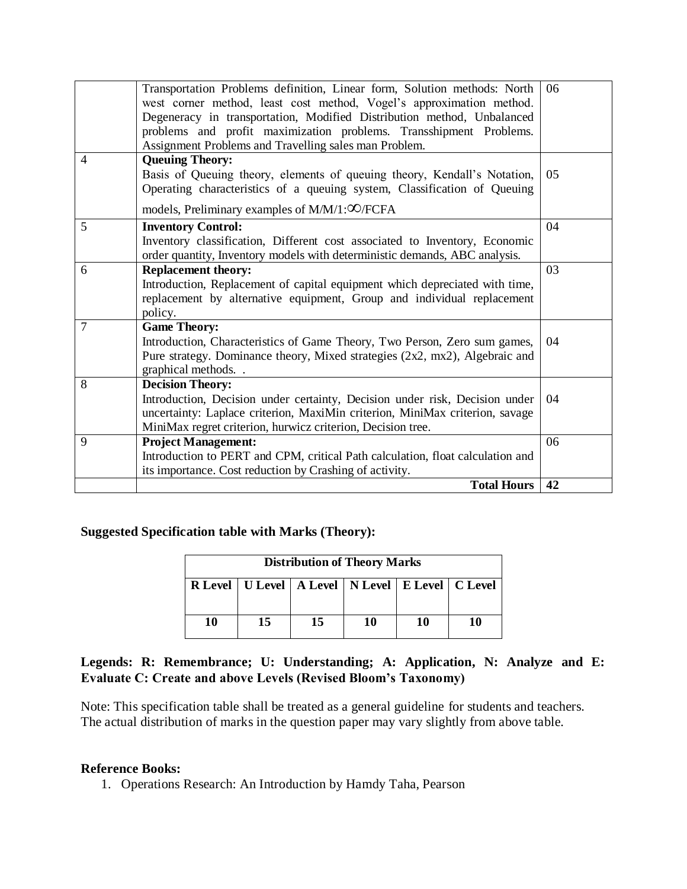|                | Transportation Problems definition, Linear form, Solution methods: North<br>west corner method, least cost method, Vogel's approximation method.<br>Degeneracy in transportation, Modified Distribution method, Unbalanced<br>problems and profit maximization problems. Transshipment Problems.<br>Assignment Problems and Travelling sales man Problem. | 06 |  |  |
|----------------|-----------------------------------------------------------------------------------------------------------------------------------------------------------------------------------------------------------------------------------------------------------------------------------------------------------------------------------------------------------|----|--|--|
| $\overline{4}$ | <b>Queuing Theory:</b>                                                                                                                                                                                                                                                                                                                                    |    |  |  |
|                | Basis of Queuing theory, elements of queuing theory, Kendall's Notation,<br>Operating characteristics of a queuing system, Classification of Queuing                                                                                                                                                                                                      | 05 |  |  |
|                | models, Preliminary examples of M/M/1: <sup>OO/FCFA</sup>                                                                                                                                                                                                                                                                                                 |    |  |  |
| 5              | <b>Inventory Control:</b>                                                                                                                                                                                                                                                                                                                                 | 04 |  |  |
|                | Inventory classification, Different cost associated to Inventory, Economic<br>order quantity, Inventory models with deterministic demands, ABC analysis.                                                                                                                                                                                                  |    |  |  |
| 6              | <b>Replacement theory:</b>                                                                                                                                                                                                                                                                                                                                | 03 |  |  |
|                | Introduction, Replacement of capital equipment which depreciated with time,<br>replacement by alternative equipment, Group and individual replacement<br>policy.                                                                                                                                                                                          |    |  |  |
| $\overline{7}$ | <b>Game Theory:</b>                                                                                                                                                                                                                                                                                                                                       |    |  |  |
|                | Introduction, Characteristics of Game Theory, Two Person, Zero sum games,                                                                                                                                                                                                                                                                                 | 04 |  |  |
|                | Pure strategy. Dominance theory, Mixed strategies (2x2, mx2), Algebraic and<br>graphical methods                                                                                                                                                                                                                                                          |    |  |  |
| 8              | <b>Decision Theory:</b>                                                                                                                                                                                                                                                                                                                                   |    |  |  |
|                | Introduction, Decision under certainty, Decision under risk, Decision under<br>uncertainty: Laplace criterion, MaxiMin criterion, MiniMax criterion, savage                                                                                                                                                                                               | 04 |  |  |
|                | MiniMax regret criterion, hurwicz criterion, Decision tree.                                                                                                                                                                                                                                                                                               |    |  |  |
| 9              | <b>Project Management:</b>                                                                                                                                                                                                                                                                                                                                | 06 |  |  |
|                | Introduction to PERT and CPM, critical Path calculation, float calculation and                                                                                                                                                                                                                                                                            |    |  |  |
|                | its importance. Cost reduction by Crashing of activity.                                                                                                                                                                                                                                                                                                   |    |  |  |
|                | <b>Total Hours</b>                                                                                                                                                                                                                                                                                                                                        | 42 |  |  |

## **Suggested Specification table with Marks (Theory):**

| <b>Distribution of Theory Marks</b> |          |  |                                                           |    |    |  |  |
|-------------------------------------|----------|--|-----------------------------------------------------------|----|----|--|--|
|                                     |          |  | R Level   U Level   A Level   N Level   E Level   C Level |    |    |  |  |
|                                     |          |  |                                                           |    |    |  |  |
| 10                                  | 15<br>15 |  | 10                                                        | 10 | 10 |  |  |

# **Legends: R: Remembrance; U: Understanding; A: Application, N: Analyze and E: Evaluate C: Create and above Levels (Revised Bloom's Taxonomy)**

Note: This specification table shall be treated as a general guideline for students and teachers. The actual distribution of marks in the question paper may vary slightly from above table.

## **Reference Books:**

1. Operations Research: An Introduction by Hamdy Taha, Pearson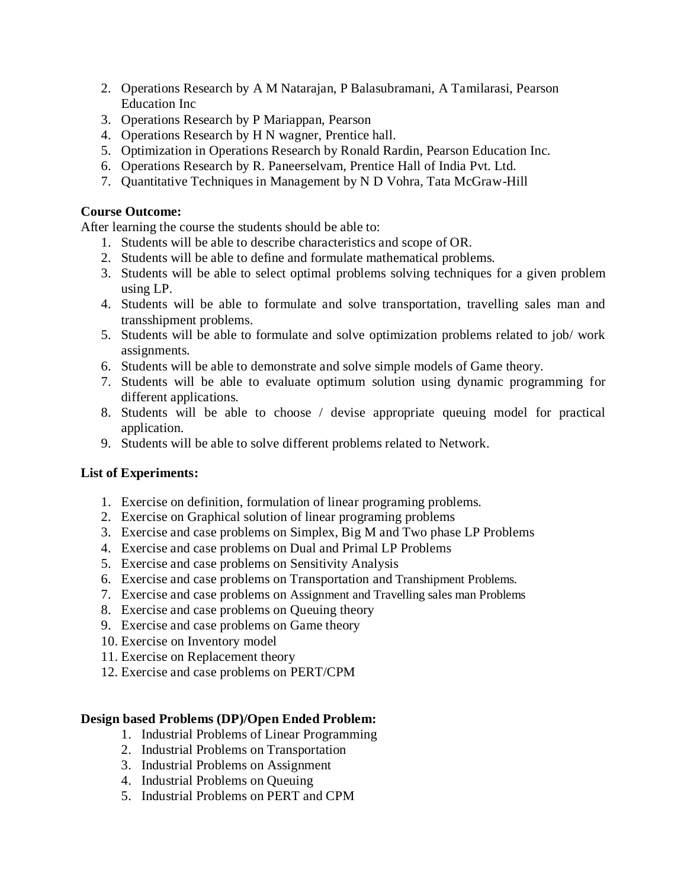- 2. Operations Research by A M Natarajan, P Balasubramani, A Tamilarasi, Pearson Education Inc
- 3. Operations Research by P Mariappan, Pearson
- 4. Operations Research by H N wagner, Prentice hall.
- 5. Optimization in Operations Research by Ronald Rardin, Pearson Education Inc.
- 6. Operations Research by R. Paneerselvam, Prentice Hall of India Pvt. Ltd.
- 7. Quantitative Techniques in Management by N D Vohra, Tata McGraw-Hill

# **Course Outcome:**

After learning the course the students should be able to:

- 1. Students will be able to describe characteristics and scope of OR.
- 2. Students will be able to define and formulate mathematical problems.
- 3. Students will be able to select optimal problems solving techniques for a given problem using LP.
- 4. Students will be able to formulate and solve transportation, travelling sales man and transshipment problems.
- 5. Students will be able to formulate and solve optimization problems related to job/ work assignments.
- 6. Students will be able to demonstrate and solve simple models of Game theory.
- 7. Students will be able to evaluate optimum solution using dynamic programming for different applications.
- 8. Students will be able to choose / devise appropriate queuing model for practical application.
- 9. Students will be able to solve different problems related to Network.

# **List of Experiments:**

- 1. Exercise on definition, formulation of linear programing problems.
- 2. Exercise on Graphical solution of linear programing problems
- 3. Exercise and case problems on Simplex, Big M and Two phase LP Problems
- 4. Exercise and case problems on Dual and Primal LP Problems
- 5. Exercise and case problems on Sensitivity Analysis
- 6. Exercise and case problems on Transportation and Transhipment Problems.
- 7. Exercise and case problems on Assignment and Travelling sales man Problems
- 8. Exercise and case problems on Queuing theory
- 9. Exercise and case problems on Game theory
- 10. Exercise on Inventory model
- 11. Exercise on Replacement theory
- 12. Exercise and case problems on PERT/CPM

# **Design based Problems (DP)/Open Ended Problem:**

- 1. Industrial Problems of Linear Programming
- 2. Industrial Problems on Transportation
- 3. Industrial Problems on Assignment
- 4. Industrial Problems on Queuing
- 5. Industrial Problems on PERT and CPM